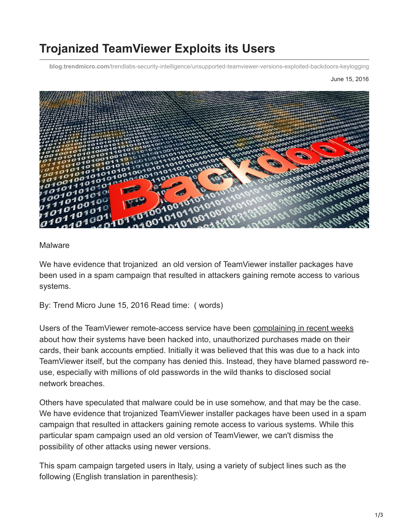## **Trojanized TeamViewer Exploits its Users**

**blog.trendmicro.com**[/trendlabs-security-intelligence/unsupported-teamviewer-versions-exploited-backdoors-keylogging](https://blog.trendmicro.com/trendlabs-security-intelligence/unsupported-teamviewer-versions-exploited-backdoors-keylogging)

## June 15, 2016



## Malware

We have evidence that trojanized an old version of TeamViewer installer packages have been used in a spam campaign that resulted in attackers gaining remote access to various systems.

By: Trend Micro June 15, 2016 Read time: ( words)

Users of the TeamViewer remote-access service have been [complaining in recent weeks](http://arstechnica.com/security/2016/06/teamviewer-users-are-being-hacked-in-bulk-and-we-still-dont-know-how/) about how their systems have been hacked into, unauthorized purchases made on their cards, their bank accounts emptied. Initially it was believed that this was due to a hack into TeamViewer itself, but the company has denied this. Instead, they have blamed password reuse, especially with millions of old passwords in the wild thanks to disclosed social network breaches.

Others have speculated that malware could be in use somehow, and that may be the case. We have evidence that trojanized TeamViewer installer packages have been used in a spam campaign that resulted in attackers gaining remote access to various systems. While this particular spam campaign used an old version of TeamViewer, we can't dismiss the possibility of other attacks using newer versions.

This spam campaign targeted users in Italy, using a variety of subject lines such as the following (English translation in parenthesis):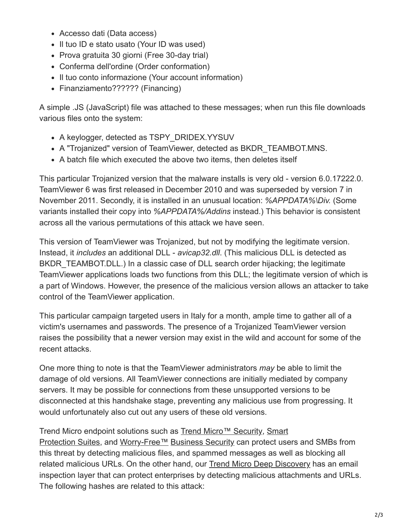- Accesso dati (Data access)
- Il tuo ID e stato usato (Your ID was used)
- Prova gratuita 30 giorni (Free 30-day trial)
- Conferma dell'ordine (Order conformation)
- Il tuo conto informazione (Your account information)
- Finanziamento?????? (Financing)

A simple .JS (JavaScript) file was attached to these messages; when run this file downloads various files onto the system:

- A keylogger, detected as TSPY\_DRIDEX.YYSUV
- A "Trojanized" version of TeamViewer, detected as BKDR\_TEAMBOT.MNS.
- A batch file which executed the above two items, then deletes itself

This particular Trojanized version that the malware installs is very old - version 6.0.17222.0. TeamViewer 6 was first released in December 2010 and was superseded by version 7 in November 2011. Secondly, it is installed in an unusual location: *%APPDATA%\Div.* (Some variants installed their copy into *%APPDATA%/Addins* instead.) This behavior is consistent across all the various permutations of this attack we have seen.

This version of TeamViewer was Trojanized, but not by modifying the legitimate version. Instead, it *includes* an additional DLL - *avicap32.dll*. (This malicious DLL is detected as BKDR TEAMBOT.DLL.) In a classic case of DLL search order hijacking; the legitimate TeamViewer applications loads two functions from this DLL; the legitimate version of which is a part of Windows. However, the presence of the malicious version allows an attacker to take control of the TeamViewer application.

This particular campaign targeted users in Italy for a month, ample time to gather all of a victim's usernames and passwords. The presence of a Trojanized TeamViewer version raises the possibility that a newer version may exist in the wild and account for some of the recent attacks.

One more thing to note is that the TeamViewer administrators *may* be able to limit the damage of old versions. All TeamViewer connections are initially mediated by company servers. It may be possible for connections from these unsupported versions to be disconnected at this handshake stage, preventing any malicious use from progressing. It would unfortunately also cut out any users of these old versions.

[Trend Micro endpoint solutions such as T](http://www.trendmicro.com.ph/ph/business/complete-user-protection/index.html)[rend Micro™ Security](http://www.trendmicro.com/us/home/products/software/index.html)[, Smart](http://www.trendmicro.com.ph/ph/business/complete-user-protection/index.html) Protection Suites, and [Worry-Free](http://www.trendmicro.com/us/small-business/product-security/)[™](http://www.trendmicro.com/us/home/products/software/index.html) [Business Security](http://www.trendmicro.com/us/small-business/product-security/) can protect users and SMBs from this threat by detecting malicious files, and spammed messages as well as blocking all related malicious URLs. On the other hand, our [Trend Micro Deep Discovery](http://www.trendmicro.com/us/enterprise/security-risk-management/deep-discovery/) has an email inspection layer that can protect enterprises by detecting malicious attachments and URLs. The following hashes are related to this attack: